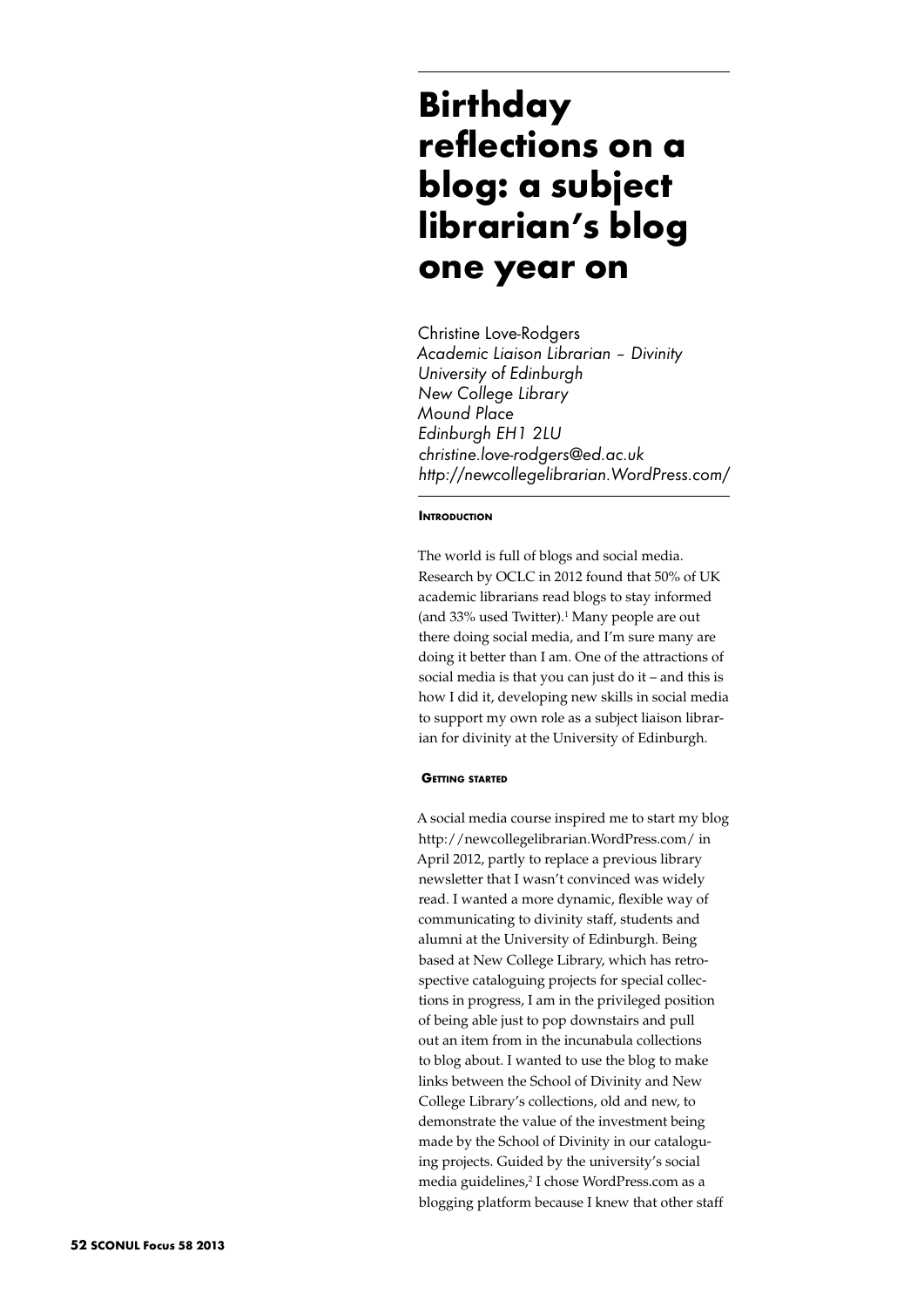# **Birthday reflections on a blog: a subject librarian's blog one year on**

Christine Love-Rodgers *Academic Liaison Librarian – Divinity University of Edinburgh New College Library Mound Place Edinburgh EH1 2LU christine.love-rodgers@ed.ac.uk http://newcollegelibrarian.WordPress.com/*

# **INTRODUCTION**

The world is full of blogs and social media. Research by OCLC in 2012 found that 50% of UK academic librarians read blogs to stay informed (and 33% used Twitter).<sup>1</sup> Many people are out there doing social media, and I'm sure many are doing it better than I am. One of the attractions of social media is that you can just do it – and this is how I did it, developing new skills in social media to support my own role as a subject liaison librarian for divinity at the University of Edinburgh.

## **Getting started**

A social media course inspired me to start my blog http://newcollegelibrarian.WordPress.com/ in April 2012, partly to replace a previous library newsletter that I wasn't convinced was widely read. I wanted a more dynamic, flexible way of communicating to divinity staff, students and alumni at the University of Edinburgh. Being based at New College Library, which has retrospective cataloguing projects for special collections in progress, I am in the privileged position of being able just to pop downstairs and pull out an item from in the incunabula collections to blog about. I wanted to use the blog to make links between the School of Divinity and New College Library's collections, old and new, to demonstrate the value of the investment being made by the School of Divinity in our cataloguing projects. Guided by the university's social media guidelines,<sup>2</sup> I chose WordPress.com as a blogging platform because I knew that other staff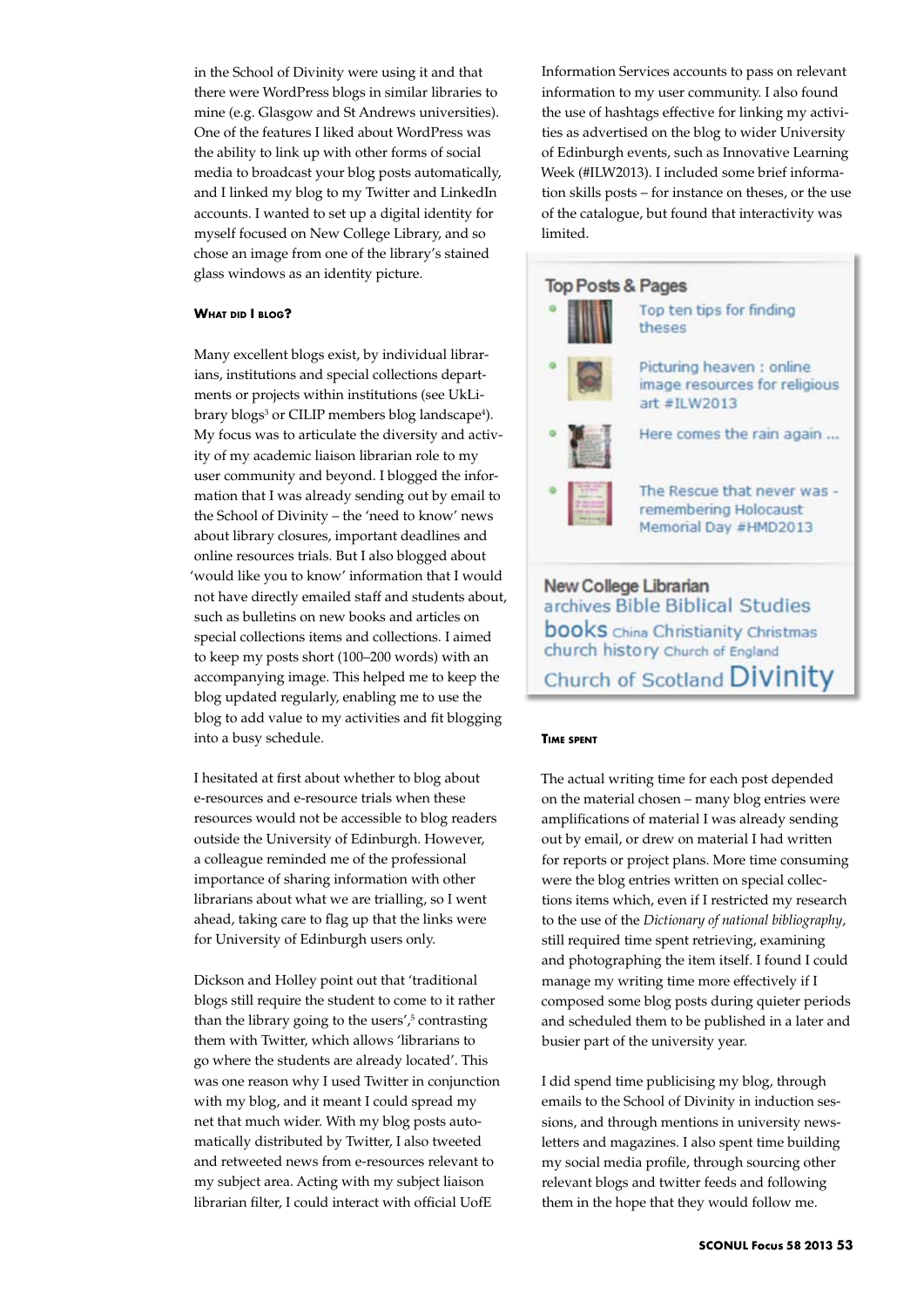in the School of Divinity were using it and that there were WordPress blogs in similar libraries to mine (e.g. Glasgow and St Andrews universities). One of the features I liked about WordPress was the ability to link up with other forms of social media to broadcast your blog posts automatically, and I linked my blog to my Twitter and LinkedIn accounts. I wanted to set up a digital identity for myself focused on New College Library, and so chose an image from one of the library's stained glass windows as an identity picture.

# **What did I blog?**

Many excellent blogs exist, by individual librarians, institutions and special collections departments or projects within institutions (see UkLibrary blogs<sup>3</sup> or CILIP members blog landscape<sup>4</sup>). My focus was to articulate the diversity and activity of my academic liaison librarian role to my user community and beyond. I blogged the information that I was already sending out by email to the School of Divinity – the 'need to know' news about library closures, important deadlines and online resources trials. But I also blogged about 'would like you to know' information that I would not have directly emailed staff and students about, such as bulletins on new books and articles on special collections items and collections. I aimed to keep my posts short (100–200 words) with an accompanying image. This helped me to keep the blog updated regularly, enabling me to use the blog to add value to my activities and fit blogging into a busy schedule.

I hesitated at first about whether to blog about e-resources and e-resource trials when these resources would not be accessible to blog readers outside the University of Edinburgh. However, a colleague reminded me of the professional importance of sharing information with other librarians about what we are trialling, so I went ahead, taking care to flag up that the links were for University of Edinburgh users only.

Dickson and Holley point out that 'traditional blogs still require the student to come to it rather than the library going to the users',<sup>5</sup> contrasting them with Twitter, which allows 'librarians to go where the students are already located'. This was one reason why I used Twitter in conjunction with my blog, and it meant I could spread my net that much wider. With my blog posts automatically distributed by Twitter, I also tweeted and retweeted news from e-resources relevant to my subject area. Acting with my subject liaison librarian filter, I could interact with official UofE

Information Services accounts to pass on relevant information to my user community. I also found the use of hashtags effective for linking my activities as advertised on the blog to wider University of Edinburgh events, such as Innovative Learning Week (#ILW2013). I included some brief information skills posts – for instance on theses, or the use of the catalogue, but found that interactivity was limited.



#### **Time spent**

The actual writing time for each post depended on the material chosen – many blog entries were amplifications of material I was already sending out by email, or drew on material I had written for reports or project plans. More time consuming were the blog entries written on special collections items which, even if I restricted my research to the use of the *Dictionary of national bibliography*, still required time spent retrieving, examining and photographing the item itself. I found I could manage my writing time more effectively if I composed some blog posts during quieter periods and scheduled them to be published in a later and busier part of the university year.

I did spend time publicising my blog, through emails to the School of Divinity in induction sessions, and through mentions in university newsletters and magazines. I also spent time building my social media profile, through sourcing other relevant blogs and twitter feeds and following them in the hope that they would follow me.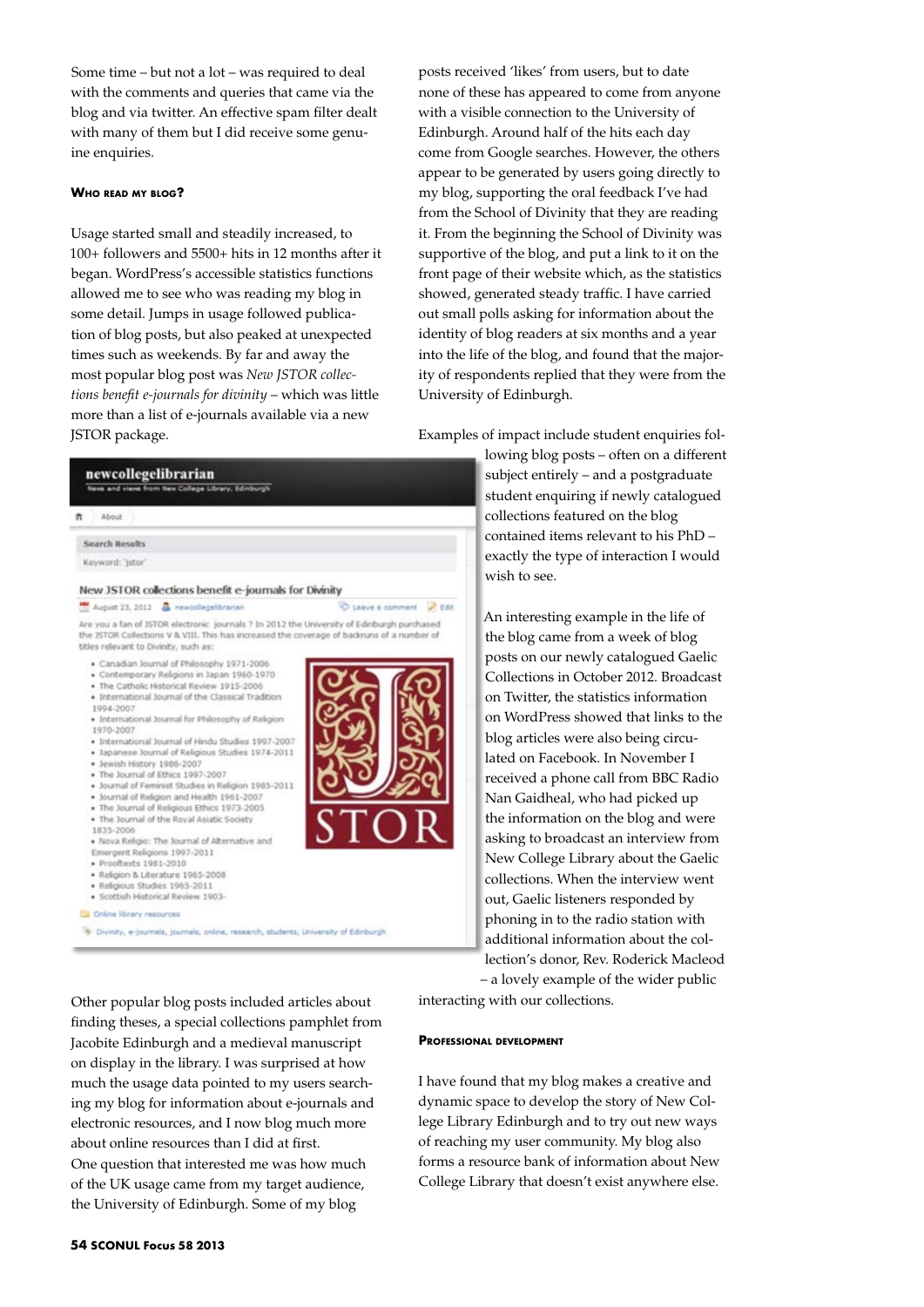Some time – but not a lot – was required to deal with the comments and queries that came via the blog and via twitter. An effective spam filter dealt with many of them but I did receive some genuine enquiries.

## **Who read my blog?**

Usage started small and steadily increased, to 100+ followers and 5500+ hits in 12 months after it began. WordPress's accessible statistics functions allowed me to see who was reading my blog in some detail. Jumps in usage followed publication of blog posts, but also peaked at unexpected times such as weekends. By far and away the most popular blog post was *New JSTOR collections benefit e-journals for divinity* – which was little more than a list of e-journals available via a new JSTOR package.

| Keyword: 'jstor'                                                                                                        |                                                                                                                                                                                                                                                                                                                                                                                                                                                                                                                                                                                                                                                                                                                                                       |                   |
|-------------------------------------------------------------------------------------------------------------------------|-------------------------------------------------------------------------------------------------------------------------------------------------------------------------------------------------------------------------------------------------------------------------------------------------------------------------------------------------------------------------------------------------------------------------------------------------------------------------------------------------------------------------------------------------------------------------------------------------------------------------------------------------------------------------------------------------------------------------------------------------------|-------------------|
|                                                                                                                         |                                                                                                                                                                                                                                                                                                                                                                                                                                                                                                                                                                                                                                                                                                                                                       |                   |
|                                                                                                                         | New JSTOR collections benefit e-journals for Divinity                                                                                                                                                                                                                                                                                                                                                                                                                                                                                                                                                                                                                                                                                                 |                   |
|                                                                                                                         | August 23, 2012 & newcollegelibrarian                                                                                                                                                                                                                                                                                                                                                                                                                                                                                                                                                                                                                                                                                                                 | C Leave a comment |
| titles relevant to Divinity, such as:                                                                                   | Are you a fan of JSTOR electronic journals ? In 2012 the University of Edinburgh purchased<br>the JSTOR Collections V & VIII. This has increased the coverage of backruns of a number of                                                                                                                                                                                                                                                                                                                                                                                                                                                                                                                                                              |                   |
| 1994-2007<br>1970-2007<br>· Jewish History 1986-2007<br>1835-2006<br>· Prooftexts 1981-2010<br>Online library resources | · Contemporary Religions in Japan 1960-1970<br>. The Catholic Historical Review 1915-2006<br>· International Journal of the Classical Tradition<br>· International Journal for Philosophy of Religion<br>· International Journal of Hindu Studies 1997-2007<br>· Japanese Journal of Religious Studies 1974-2011<br>. The Journal of Ethics 1997-2007<br>· Journal of Feminist Studies in Religion 1985-2011<br>. Journal of Religion and Health 1961-2007<br>. The Journal of Religious Ethics 1973-2005<br>. The Journal of the Royal Asiatic Society<br>. Nova Religio: The Journal of Alternative and<br>Emergent Religions 1997-2011<br>· Religion & Literature 1965-2008<br>· Religious Studies 1965-2011<br>· Scottish Historical Review 1903- |                   |
|                                                                                                                         |                                                                                                                                                                                                                                                                                                                                                                                                                                                                                                                                                                                                                                                                                                                                                       |                   |
|                                                                                                                         | * Divinity, e-journals, journals, online, research, students, University of Edinburgh                                                                                                                                                                                                                                                                                                                                                                                                                                                                                                                                                                                                                                                                 |                   |
|                                                                                                                         | Other popular blog posts included articles about                                                                                                                                                                                                                                                                                                                                                                                                                                                                                                                                                                                                                                                                                                      | interact          |
|                                                                                                                         |                                                                                                                                                                                                                                                                                                                                                                                                                                                                                                                                                                                                                                                                                                                                                       |                   |

about online resources than I did at first. One question that interested me was how much of the UK usage came from my target audience, the University of Edinburgh. Some of my blog

electronic resources, and I now blog much more

posts received 'likes' from users, but to date none of these has appeared to come from anyone with a visible connection to the University of Edinburgh. Around half of the hits each day come from Google searches. However, the others appear to be generated by users going directly to my blog, supporting the oral feedback I've had from the School of Divinity that they are reading it. From the beginning the School of Divinity was supportive of the blog, and put a link to it on the front page of their website which, as the statistics showed, generated steady traffic. I have carried out small polls asking for information about the identity of blog readers at six months and a year into the life of the blog, and found that the majority of respondents replied that they were from the University of Edinburgh.

les of impact include student enquiries fol-

lowing blog posts – often on a different subject entirely – and a postgraduate student enquiring if newly catalogued collections featured on the blog contained items relevant to his PhD – exactly the type of interaction I would wish to see.

An interesting example in the life of the blog came from a week of blog posts on our newly catalogued Gaelic Collections in October 2012. Broadcast on Twitter, the statistics information on WordPress showed that links to the blog articles were also being circulated on Facebook. In November I received a phone call from BBC Radio Nan Gaidheal, who had picked up the information on the blog and were asking to broadcast an interview from New College Library about the Gaelic collections. When the interview went out, Gaelic listeners responded by phoning in to the radio station with additional information about the collection's donor, Rev. Roderick Macleod

– a lovely example of the wider public ting with our collections.

### **Professional development**

found that my blog makes a creative and ic space to develop the story of New College Library Edinburgh and to try out new ways of reaching my user community. My blog also forms a resource bank of information about New College Library that doesn't exist anywhere else.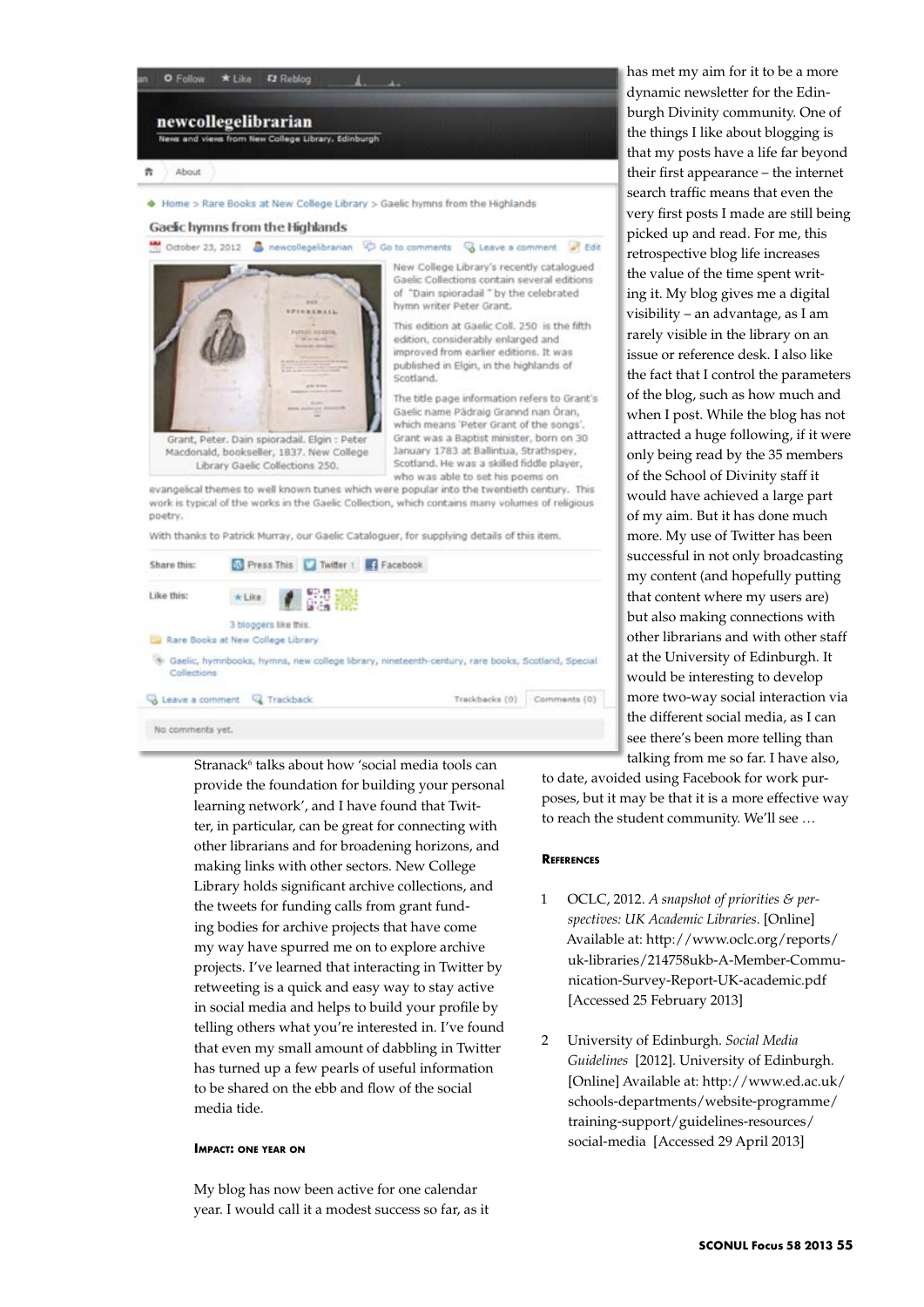

Stranack<sup>6</sup> talks about how 'social media tools can provide the foundation for building your personal learning network', and I have found that Twitter, in particular, can be great for connecting with other librarians and for broadening horizons, and making links with other sectors. New College Library holds significant archive collections, and the tweets for funding calls from grant funding bodies for archive projects that have come my way have spurred me on to explore archive projects. I've learned that interacting in Twitter by retweeting is a quick and easy way to stay active in social media and helps to build your profile by telling others what you're interested in. I've found that even my small amount of dabbling in Twitter has turned up a few pearls of useful information to be shared on the ebb and flow of the social media tide.

## **Impact: one year on**

My blog has now been active for one calendar year. I would call it a modest success so far, as it has met my aim for it to be a more dynamic newsletter for the Edinburgh Divinity community. One of the things I like about blogging is that my posts have a life far beyond their first appearance – the internet search traffic means that even the very first posts I made are still being picked up and read. For me, this retrospective blog life increases the value of the time spent writing it. My blog gives me a digital visibility – an advantage, as I am rarely visible in the library on an issue or reference desk. I also like the fact that I control the parameters of the blog, such as how much and when I post. While the blog has not attracted a huge following, if it were only being read by the 35 members of the School of Divinity staff it would have achieved a large part of my aim. But it has done much more. My use of Twitter has been successful in not only broadcasting my content (and hopefully putting that content where my users are) but also making connections with other librarians and with other staff at the University of Edinburgh. It would be interesting to develop more two-way social interaction via the different social media, as I can see there's been more telling than talking from me so far. I have also,

to date, avoided using Facebook for work purposes, but it may be that it is a more effective way to reach the student community. We'll see …

## **References**

- 1 OCLC, 2012. *A snapshot of priorities & perspectives: UK Academic Libraries*. [Online] Available at: http://www.oclc.org/reports/ uk-libraries/214758ukb-A-Member-Communication-Survey-Report-UK-academic.pdf [Accessed 25 February 2013]
- 2 University of Edinburgh. *Social Media Guidelines* [2012]. University of Edinburgh. [Online] Available at: http://www.ed.ac.uk/ schools-departments/website-programme/ training-support/guidelines-resources/ social-media [Accessed 29 April 2013]